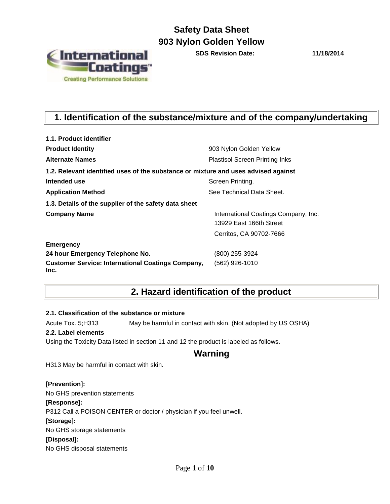

**SDS Revision Date: 11/18/2014**

## **1. Identification of the substance/mixture and of the company/undertaking**

| 1.1. Product identifier                                                            |                                                                 |
|------------------------------------------------------------------------------------|-----------------------------------------------------------------|
| <b>Product Identity</b>                                                            | 903 Nylon Golden Yellow                                         |
| <b>Alternate Names</b>                                                             | <b>Plastisol Screen Printing Inks</b>                           |
| 1.2. Relevant identified uses of the substance or mixture and uses advised against |                                                                 |
| Intended use                                                                       | Screen Printing.                                                |
| <b>Application Method</b>                                                          | See Technical Data Sheet.                                       |
| 1.3. Details of the supplier of the safety data sheet                              |                                                                 |
| <b>Company Name</b>                                                                | International Coatings Company, Inc.<br>13929 East 166th Street |
|                                                                                    | Cerritos, CA 90702-7666                                         |
| <b>Emergency</b>                                                                   |                                                                 |
| 24 hour Emergency Telephone No.                                                    | (800) 255-3924                                                  |
| <b>Customer Service: International Coatings Company,</b><br>Inc.                   | (562) 926-1010                                                  |

## **2. Hazard identification of the product**

#### **2.1. Classification of the substance or mixture**

Acute Tox. 5;H313 May be harmful in contact with skin. (Not adopted by US OSHA)

#### **2.2. Label elements**

Using the Toxicity Data listed in section 11 and 12 the product is labeled as follows.

### **Warning**

H313 May be harmful in contact with skin.

#### **[Prevention]:**

No GHS prevention statements **[Response]:**  P312 Call a POISON CENTER or doctor / physician if you feel unwell. **[Storage]:**  No GHS storage statements **[Disposal]:**  No GHS disposal statements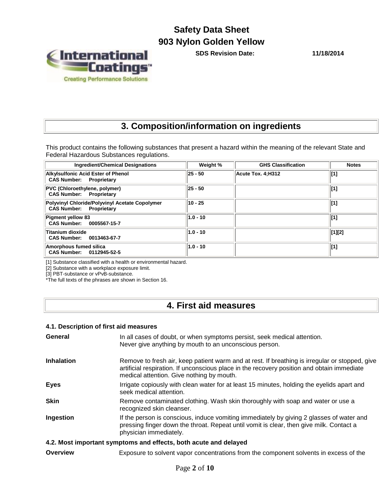

**SDS Revision Date: 11/18/2014**

## **3. Composition/information on ingredients**

This product contains the following substances that present a hazard within the meaning of the relevant State and Federal Hazardous Substances regulations.

| <b>Ingredient/Chemical Designations</b>                                          | Weight %    | <b>GHS Classification</b> | <b>Notes</b> |
|----------------------------------------------------------------------------------|-------------|---------------------------|--------------|
| <b>Alkylsulfonic Acid Ester of Phenol</b><br><b>CAS Number: Proprietary</b>      | $ 25 - 50 $ | Acute Tox. 4:H312         | [1]          |
| PVC (Chloroethylene, polymer)<br><b>CAS Number: Proprietary</b>                  | $ 25 - 50 $ |                           | $\vert$ [1]  |
| Polyvinyl Chloride/Polyvinyl Acetate Copolymer<br><b>CAS Number: Proprietary</b> | 10 - 25     |                           | $\vert$ [1]  |
| Pigment yellow 83<br>CAS Number: 0005567-15-7                                    | $1.0 - 10$  |                           | $\vert$ [1]  |
| Titanium dioxide<br>CAS Number: 0013463-67-7                                     | $1.0 - 10$  |                           | [1][2]       |
| Amorphous fumed silica<br>CAS Number: 0112945-52-5                               | $1.0 - 10$  |                           | [1]          |

[1] Substance classified with a health or environmental hazard.

[2] Substance with a workplace exposure limit.

[3] PBT-substance or vPvB-substance.

\*The full texts of the phrases are shown in Section 16.

## **4. First aid measures**

#### **4.1. Description of first aid measures**

| <b>General</b>    | In all cases of doubt, or when symptoms persist, seek medical attention.<br>Never give anything by mouth to an unconscious person.                                                                                                        |
|-------------------|-------------------------------------------------------------------------------------------------------------------------------------------------------------------------------------------------------------------------------------------|
| <b>Inhalation</b> | Remove to fresh air, keep patient warm and at rest. If breathing is irregular or stopped, give<br>artificial respiration. If unconscious place in the recovery position and obtain immediate<br>medical attention. Give nothing by mouth. |
| <b>Eyes</b>       | Irrigate copiously with clean water for at least 15 minutes, holding the eyelids apart and<br>seek medical attention.                                                                                                                     |
| <b>Skin</b>       | Remove contaminated clothing. Wash skin thoroughly with soap and water or use a<br>recognized skin cleanser.                                                                                                                              |
| Ingestion         | If the person is conscious, induce vomiting immediately by giving 2 glasses of water and<br>pressing finger down the throat. Repeat until vomit is clear, then give milk. Contact a<br>physician immediately.                             |
|                   | 4.2. Most important symptoms and effects, both acute and delayed                                                                                                                                                                          |
| Overview          | Exposure to solvent vapor concentrations from the component solvents in excess of the                                                                                                                                                     |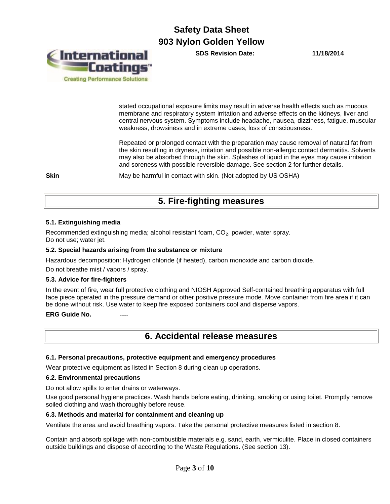**SDS Revision Date: 11/18/2014**



stated occupational exposure limits may result in adverse health effects such as mucous membrane and respiratory system irritation and adverse effects on the kidneys, liver and central nervous system. Symptoms include headache, nausea, dizziness, fatigue, muscular weakness, drowsiness and in extreme cases, loss of consciousness.

Repeated or prolonged contact with the preparation may cause removal of natural fat from the skin resulting in dryness, irritation and possible non-allergic contact dermatitis. Solvents may also be absorbed through the skin. Splashes of liquid in the eyes may cause irritation and soreness with possible reversible damage. See section 2 for further details.

**Skin** May be harmful in contact with skin. (Not adopted by US OSHA)

## **5. Fire-fighting measures**

#### **5.1. Extinguishing media**

Recommended extinguishing media; alcohol resistant foam, CO<sub>2</sub>, powder, water spray. Do not use; water jet.

#### **5.2. Special hazards arising from the substance or mixture**

Hazardous decomposition: Hydrogen chloride (if heated), carbon monoxide and carbon dioxide.

Do not breathe mist / vapors / spray.

#### **5.3. Advice for fire-fighters**

In the event of fire, wear full protective clothing and NIOSH Approved Self-contained breathing apparatus with full face piece operated in the pressure demand or other positive pressure mode. Move container from fire area if it can be done without risk. Use water to keep fire exposed containers cool and disperse vapors.

#### **ERG Guide No.**

### **6. Accidental release measures**

#### **6.1. Personal precautions, protective equipment and emergency procedures**

Wear protective equipment as listed in Section 8 during clean up operations.

#### **6.2. Environmental precautions**

Do not allow spills to enter drains or waterways.

Use good personal hygiene practices. Wash hands before eating, drinking, smoking or using toilet. Promptly remove soiled clothing and wash thoroughly before reuse.

#### **6.3. Methods and material for containment and cleaning up**

Ventilate the area and avoid breathing vapors. Take the personal protective measures listed in section 8.

Contain and absorb spillage with non-combustible materials e.g. sand, earth, vermiculite. Place in closed containers outside buildings and dispose of according to the Waste Regulations. (See section 13).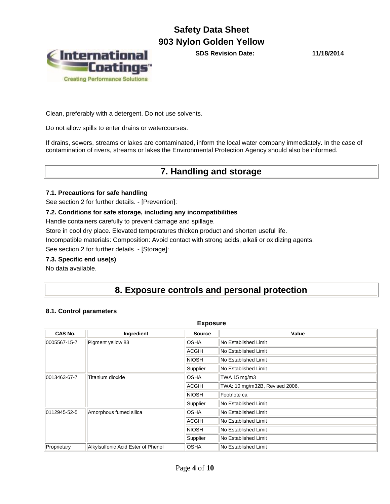

**SDS Revision Date: 11/18/2014**

Clean, preferably with a detergent. Do not use solvents.

Do not allow spills to enter drains or watercourses.

If drains, sewers, streams or lakes are contaminated, inform the local water company immediately. In the case of contamination of rivers, streams or lakes the Environmental Protection Agency should also be informed.

## **7. Handling and storage**

#### **7.1. Precautions for safe handling**

See section 2 for further details. - [Prevention]:

#### **7.2. Conditions for safe storage, including any incompatibilities**

Handle containers carefully to prevent damage and spillage.

Store in cool dry place. Elevated temperatures thicken product and shorten useful life.

Incompatible materials: Composition: Avoid contact with strong acids, alkali or oxidizing agents.

See section 2 for further details. - [Storage]:

#### **7.3. Specific end use(s)**

No data available.

## **8. Exposure controls and personal protection**

#### **8.1. Control parameters**

| <b>Exposure</b>                  |                                    |               |                                |  |
|----------------------------------|------------------------------------|---------------|--------------------------------|--|
| CAS No.                          | Ingredient                         | <b>Source</b> | Value                          |  |
| 0005567-15-7                     | Pigment yellow 83                  | <b>OSHA</b>   | No Established Limit           |  |
|                                  |                                    | <b>ACGIH</b>  | No Established Limit           |  |
|                                  |                                    | <b>NIOSH</b>  | <b>No Established Limit</b>    |  |
|                                  |                                    | Supplier      | No Established Limit           |  |
| 0013463-67-7<br>Titanium dioxide |                                    | <b>OSHA</b>   | TWA 15 mg/m3                   |  |
|                                  |                                    | ACGIH         | TWA: 10 mg/m32B, Revised 2006, |  |
|                                  |                                    | <b>NIOSH</b>  | Footnote ca                    |  |
|                                  |                                    | Supplier      | No Established Limit           |  |
| 0112945-52-5                     | Amorphous fumed silica             | <b>OSHA</b>   | No Established Limit           |  |
|                                  |                                    | ACGIH         | No Established Limit           |  |
|                                  |                                    | <b>NIOSH</b>  | No Established Limit           |  |
|                                  |                                    | Supplier      | No Established Limit           |  |
| Proprietary                      | Alkylsulfonic Acid Ester of Phenol | <b>OSHA</b>   | No Established Limit           |  |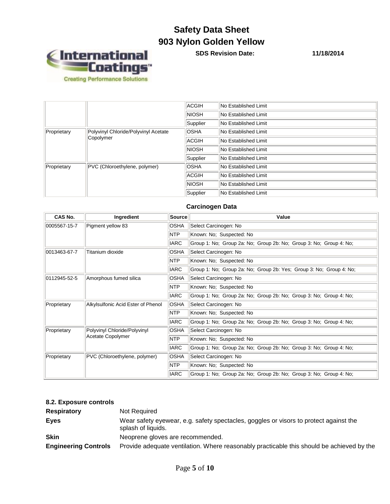

**SDS Revision Date: 11/18/2014**

|             | ACGIH                                | No Established Limit |                      |
|-------------|--------------------------------------|----------------------|----------------------|
|             |                                      | <b>NIOSH</b>         | No Established Limit |
|             |                                      | Supplier             | No Established Limit |
| Proprietary | Polyvinyl Chloride/Polyvinyl Acetate | <b>OSHA</b>          | No Established Limit |
| Copolymer   | ACGIH                                | No Established Limit |                      |
|             | <b>NIOSH</b>                         | No Established Limit |                      |
|             | Supplier                             | No Established Limit |                      |
| Proprietary | PVC (Chloroethylene, polymer)        | <b>OSHA</b>          | No Established Limit |
|             | ACGIH                                | No Established Limit |                      |
|             |                                      | <b>NIOSH</b>         | No Established Limit |
|             |                                      | Supplier             | No Established Limit |

#### **Carcinogen Data**

| CAS No.      | Ingredient                         | Source      | Value                                                               |  |  |  |  |
|--------------|------------------------------------|-------------|---------------------------------------------------------------------|--|--|--|--|
| 0005567-15-7 | Pigment yellow 83                  | OSHA        | Select Carcinogen: No                                               |  |  |  |  |
|              |                                    | <b>NTP</b>  | Known: No; Suspected: No                                            |  |  |  |  |
|              |                                    | <b>IARC</b> | Group 1: No; Group 2a: No; Group 2b: No; Group 3: No; Group 4: No;  |  |  |  |  |
| 0013463-67-7 | Titanium dioxide                   | <b>OSHA</b> | Select Carcinogen: No                                               |  |  |  |  |
|              |                                    | NTP         | Known: No; Suspected: No                                            |  |  |  |  |
|              |                                    | <b>IARC</b> | Group 1: No; Group 2a: No; Group 2b: Yes; Group 3: No; Group 4: No; |  |  |  |  |
| 0112945-52-5 | Amorphous fumed silica             | <b>OSHA</b> | Select Carcinogen: No                                               |  |  |  |  |
|              |                                    | <b>NTP</b>  | Known: No; Suspected: No                                            |  |  |  |  |
|              |                                    | <b>IARC</b> | Group 1: No; Group 2a: No; Group 2b: No; Group 3: No; Group 4: No;  |  |  |  |  |
| Proprietary  | Alkylsulfonic Acid Ester of Phenol | <b>OSHA</b> | Select Carcinogen: No                                               |  |  |  |  |
|              |                                    | <b>NTP</b>  | Known: No; Suspected: No                                            |  |  |  |  |
|              |                                    | <b>IARC</b> | Group 1: No; Group 2a: No; Group 2b: No; Group 3: No; Group 4: No;  |  |  |  |  |
| Proprietary  | Polyvinyl Chloride/Polyvinyl       | <b>OSHA</b> | Select Carcinogen: No                                               |  |  |  |  |
|              | Acetate Copolymer                  | <b>NTP</b>  | Known: No; Suspected: No                                            |  |  |  |  |
|              |                                    | <b>IARC</b> | Group 1: No; Group 2a: No; Group 2b: No; Group 3: No; Group 4: No;  |  |  |  |  |
| Proprietary  | PVC (Chloroethylene, polymer)      | <b>OSHA</b> | Select Carcinogen: No                                               |  |  |  |  |
|              |                                    | NTP         | Known: No; Suspected: No                                            |  |  |  |  |
|              |                                    | <b>IARC</b> | Group 1: No; Group 2a: No; Group 2b: No; Group 3: No; Group 4: No;  |  |  |  |  |

### **8.2. Exposure controls**

| <b>Respiratory</b>          | Not Required                                                                                                |
|-----------------------------|-------------------------------------------------------------------------------------------------------------|
| Eyes                        | Wear safety eyewear, e.g. safety spectacles, goggles or visors to protect against the<br>splash of liquids. |
| <b>Skin</b>                 | Neoprene gloves are recommended.                                                                            |
| <b>Engineering Controls</b> | Provide adequate ventilation. Where reasonably practicable this should be achieved by the                   |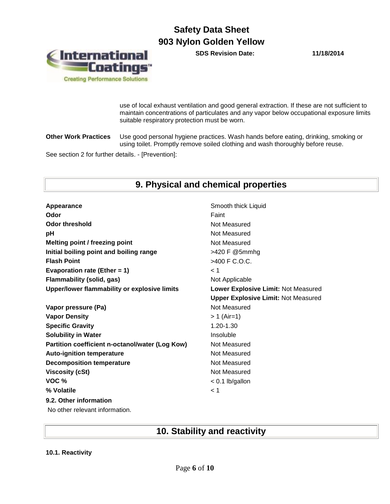**SDS Revision Date: 11/18/2014**



use of local exhaust ventilation and good general extraction. If these are not sufficient to maintain concentrations of particulates and any vapor below occupational exposure limits suitable respiratory protection must be worn.

**Other Work Practices** Use good personal hygiene practices. Wash hands before eating, drinking, smoking or using toilet. Promptly remove soiled clothing and wash thoroughly before reuse.

See section 2 for further details. - [Prevention]:

## **9. Physical and chemical properties**

| Appearance                                      | Smooth thick Liquid                        |
|-------------------------------------------------|--------------------------------------------|
| Odor                                            | Faint                                      |
| <b>Odor threshold</b>                           | Not Measured                               |
| рH                                              | Not Measured                               |
| Melting point / freezing point                  | Not Measured                               |
| Initial boiling point and boiling range         | >420 F @5mmhg                              |
| <b>Flash Point</b>                              | >400 F C.O.C.                              |
| Evaporation rate (Ether = $1$ )                 | 1 >                                        |
| <b>Flammability (solid, gas)</b>                | Not Applicable                             |
| Upper/lower flammability or explosive limits    | Lower Explosive Limit: Not Measured        |
|                                                 | <b>Upper Explosive Limit: Not Measured</b> |
| Vapor pressure (Pa)                             | Not Measured                               |
| <b>Vapor Density</b>                            | > 1 (Air=1)                                |
| <b>Specific Gravity</b>                         | 1.20-1.30                                  |
| <b>Solubility in Water</b>                      | Insoluble                                  |
| Partition coefficient n-octanol/water (Log Kow) | Not Measured                               |
| <b>Auto-ignition temperature</b>                | Not Measured                               |
| <b>Decomposition temperature</b>                | Not Measured                               |
| <b>Viscosity (cSt)</b>                          | Not Measured                               |
| VOC %                                           | $< 0.1$ lb/gallon                          |
| % Volatile                                      | < 1                                        |
| 9.2. Other information                          |                                            |
| No other relevant information.                  |                                            |
|                                                 |                                            |

## **10. Stability and reactivity**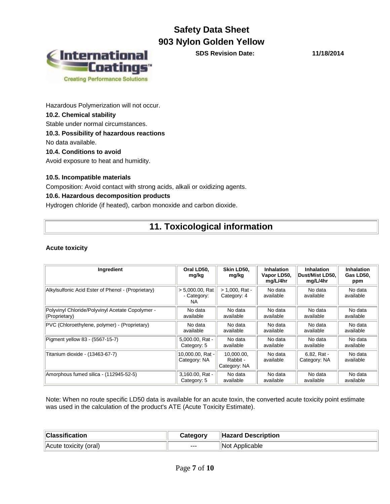

**SDS Revision Date: 11/18/2014**

Hazardous Polymerization will not occur. **10.2. Chemical stability** Stable under normal circumstances. **10.3. Possibility of hazardous reactions** No data available. **10.4. Conditions to avoid**

Avoid exposure to heat and humidity.

#### **10.5. Incompatible materials**

Composition: Avoid contact with strong acids, alkali or oxidizing agents.

#### **10.6. Hazardous decomposition products**

Hydrogen chloride (if heated), carbon monoxide and carbon dioxide.

## **11. Toxicological information**

#### **Acute toxicity**

| Ingredient                                         | Oral LD50.<br>mg/kg                      | Skin LD50,<br>mg/kg                    | <b>Inhalation</b><br>Vapor LD50,<br>mg/L/4hr | <b>Inhalation</b><br>Dust/Mist LD50.<br>mg/L/4hr | <b>Inhalation</b><br>Gas LD50.<br>ppm |
|----------------------------------------------------|------------------------------------------|----------------------------------------|----------------------------------------------|--------------------------------------------------|---------------------------------------|
| Alkylsulfonic Acid Ester of Phenol - (Proprietary) | $> 5,000.00$ , Rat<br>- Category:<br>NA. | $> 1.000$ . Rat -<br>Category: 4       | No data<br>available                         | No data<br>available                             | No data<br>available                  |
| Polyvinyl Chloride/Polyvinyl Acetate Copolymer -   | No data                                  | No data                                | No data                                      | No data                                          | No data                               |
| (Proprietary)                                      | available                                | available                              | available                                    | available                                        | available                             |
| PVC (Chloroethylene, polymer) - (Proprietary)      | No data                                  | No data                                | No data                                      | No data                                          | No data                               |
|                                                    | available                                | available                              | available                                    | available                                        | available                             |
| Pigment yellow 83 - (5567-15-7)                    | 5,000.00, Rat -                          | No data                                | No data                                      | No data                                          | No data                               |
|                                                    | Category: 5                              | available                              | available                                    | available                                        | available                             |
| Titanium dioxide - (13463-67-7)                    | 10,000.00, Rat -<br>Category: NA         | 10.000.00.<br>Rabbit -<br>Category: NA | No data<br>available                         | 6.82, Rat -<br>Category: NA                      | No data<br>available                  |
| Amorphous fumed silica - (112945-52-5)             | 3,160.00, Rat -                          | No data                                | No data                                      | No data                                          | No data                               |
|                                                    | Category: 5                              | available                              | available                                    | available                                        | available                             |

Note: When no route specific LD50 data is available for an acute toxin, the converted acute toxicity point estimate was used in the calculation of the product's ATE (Acute Toxicity Estimate).

| <b>Classification</b> | Category | Hazard Description |
|-----------------------|----------|--------------------|
| Acute toxicity (oral) | $---$    | Applicable<br>∣Not |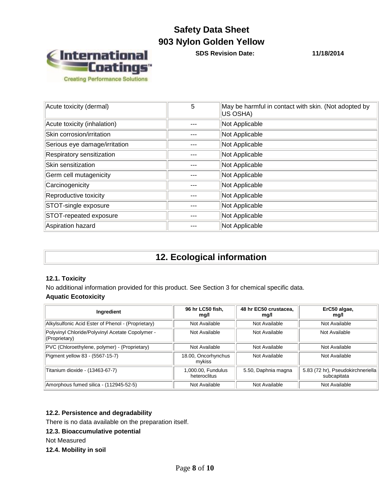

**SDS Revision Date: 11/18/2014**

| Acute toxicity (dermal)       | 5   | May be harmful in contact with skin. (Not adopted by<br>US OSHA) |
|-------------------------------|-----|------------------------------------------------------------------|
| Acute toxicity (inhalation)   |     | Not Applicable                                                   |
| Skin corrosion/irritation     |     | Not Applicable                                                   |
| Serious eye damage/irritation |     | Not Applicable                                                   |
| Respiratory sensitization     | --- | Not Applicable                                                   |
| Skin sensitization            |     | Not Applicable                                                   |
| Germ cell mutagenicity        | --- | Not Applicable                                                   |
| Carcinogenicity               |     | Not Applicable                                                   |
| Reproductive toxicity         |     | Not Applicable                                                   |
| STOT-single exposure          |     | Not Applicable                                                   |
| STOT-repeated exposure        |     | Not Applicable                                                   |
| Aspiration hazard             |     | Not Applicable                                                   |

## **12. Ecological information**

#### **12.1. Toxicity**

No additional information provided for this product. See Section 3 for chemical specific data. **Aquatic Ecotoxicity**

| Ingredient                                                        | 96 hr LC50 fish,<br>mg/l           | 48 hr EC50 crustacea,<br>mg/l | ErC50 algae,<br>mg/l                             |
|-------------------------------------------------------------------|------------------------------------|-------------------------------|--------------------------------------------------|
| Alkylsulfonic Acid Ester of Phenol - (Proprietary)                | Not Available                      | Not Available                 | Not Available                                    |
| Polyvinyl Chloride/Polyvinyl Acetate Copolymer -<br>(Proprietary) | Not Available                      | Not Available                 | Not Available                                    |
| PVC (Chloroethylene, polymer) - (Proprietary)                     | Not Available                      | Not Available                 | Not Available                                    |
| Pigment yellow 83 - (5567-15-7)                                   | 18.00, Oncorhynchus<br>mykiss      | Not Available                 | Not Available                                    |
| Titanium dioxide - (13463-67-7)                                   | 1,000.00, Fundulus<br>heteroclitus | 5.50, Daphnia magna           | 5.83 (72 hr), Pseudokirchneriella<br>subcapitata |
| Amorphous fumed silica - (112945-52-5)                            | Not Available                      | Not Available                 | Not Available                                    |

#### **12.2. Persistence and degradability**

There is no data available on the preparation itself.

#### **12.3. Bioaccumulative potential**

Not Measured

**12.4. Mobility in soil**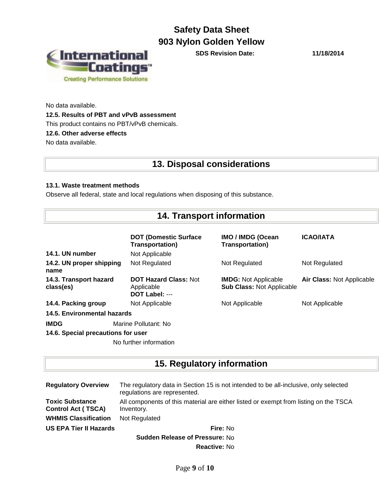

**SDS Revision Date: 11/18/2014**

No data available. **12.5. Results of PBT and vPvB assessment** This product contains no PBT/vPvB chemicals. **12.6. Other adverse effects** No data available.

## **13. Disposal considerations**

#### **13.1. Waste treatment methods**

Observe all federal, state and local regulations when disposing of this substance.

## **14. Transport information**

|                                     | <b>DOT (Domestic Surface)</b><br><b>Transportation)</b>      | <b>IMO / IMDG (Ocean</b><br><b>Transportation)</b>              | <b>ICAO/IATA</b>                 |
|-------------------------------------|--------------------------------------------------------------|-----------------------------------------------------------------|----------------------------------|
| 14.1. UN number                     | Not Applicable                                               |                                                                 |                                  |
| 14.2. UN proper shipping<br>name    | Not Regulated                                                | Not Regulated                                                   | Not Regulated                    |
| 14.3. Transport hazard<br>class(es) | <b>DOT Hazard Class: Not</b><br>Applicable<br>DOT Label: --- | <b>IMDG:</b> Not Applicable<br><b>Sub Class: Not Applicable</b> | <b>Air Class: Not Applicable</b> |
| 14.4. Packing group                 | Not Applicable                                               | Not Applicable                                                  | Not Applicable                   |
| 14.5. Environmental hazards         |                                                              |                                                                 |                                  |
| <b>IMDG</b>                         | Marine Pollutant: No                                         |                                                                 |                                  |
| 14.6. Special precautions for user  |                                                              |                                                                 |                                  |
|                                     | No further information                                       |                                                                 |                                  |

## **15. Regulatory information**

| <b>Regulatory Overview</b>                          | The regulatory data in Section 15 is not intended to be all-inclusive, only selected<br>regulations are represented. |  |  |
|-----------------------------------------------------|----------------------------------------------------------------------------------------------------------------------|--|--|
| <b>Toxic Substance</b><br><b>Control Act (TSCA)</b> | All components of this material are either listed or exempt from listing on the TSCA<br>Inventory.                   |  |  |
| <b>WHMIS Classification</b>                         | Not Regulated                                                                                                        |  |  |
| <b>US EPA Tier II Hazards</b>                       | <b>Fire: No</b>                                                                                                      |  |  |
| <b>Sudden Release of Pressure: No</b>               |                                                                                                                      |  |  |

**Reactive:** No